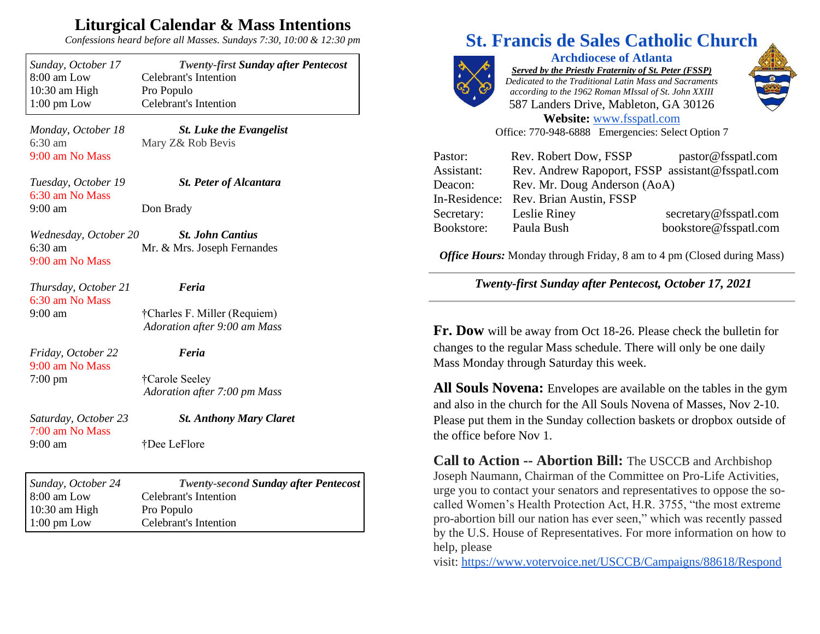## **Liturgical Calendar & Mass Intentions**

*Confessions heard before all Masses. Sundays 7:30, 10:00 & 12:30 pm*

| Sunday, October 17                                            | <b>Twenty-first Sunday after Pentecost</b>             |
|---------------------------------------------------------------|--------------------------------------------------------|
| 8:00 am Low                                                   | <b>Celebrant's Intention</b>                           |
| 10:30 am High                                                 | Pro Populo                                             |
| $1:00$ pm Low                                                 | <b>Celebrant's Intention</b>                           |
| Monday, October 18<br>$6:30$ am<br>9:00 am No Mass            | <b>St. Luke the Evangelist</b><br>Mary Z& Rob Bevis    |
| Tuesday, October 19<br>6:30 am No Mass<br>$9:00 \text{ am}$   | <b>St. Peter of Alcantara</b><br>Don Brady             |
| Wednesday, October 20<br>$6:30 \text{ am}$<br>9:00 am No Mass | <b>St. John Cantius</b><br>Mr. & Mrs. Joseph Fernandes |
| Thursday, October 21                                          | Feria                                                  |
| 6:30 am No Mass                                               | †Charles F. Miller (Requiem)                           |
| $9:00$ am                                                     | Adoration after 9:00 am Mass                           |
| Friday, October 22                                            | Feria                                                  |
| 9:00 am No Mass                                               | †Carole Seeley                                         |
| $7:00 \text{ pm}$                                             | Adoration after 7:00 pm Mass                           |
| Saturday, October 23<br>7:00 am No Mass<br>$9:00$ am          | <b>St. Anthony Mary Claret</b><br>†Dee LeFlore         |
| Sunday, October 24                                            | <b>Twenty-second Sunday after Pentecost</b>            |
| 8:00 am Low                                                   | <b>Celebrant's Intention</b>                           |
| 10:30 am High                                                 | Pro Populo                                             |
| $1:00$ pm Low                                                 | <b>Celebrant's Intention</b>                           |

## **St. Francis de Sales Catholic Church**



**Archdiocese of Atlanta** *Served by the Priestly Fraternity of St. Peter (FSSP) Dedicated to the Traditional Latin Mass and Sacraments according to the 1962 Roman MIssal of St. John XXIII* 587 Landers Drive, Mableton, GA 30126 **Website:** [www.fsspatl.com](http://www.fsspatl.com/)



Office: 770-948-6888 Emergencies: Select Option 7

| Pastor:    | Rev. Robert Dow, FSSP                            | pastor@fsspatl.com    |
|------------|--------------------------------------------------|-----------------------|
| Assistant: | Rev. Andrew Rapoport, FSSP assistant@fsspatl.com |                       |
| Deacon:    | Rev. Mr. Doug Anderson (AoA)                     |                       |
|            | In-Residence: Rev. Brian Austin, FSSP            |                       |
| Secretary: | Leslie Riney                                     | secretary@fsspatl.com |
| Bookstore: | Paula Bush                                       | bookstore@fsspatl.com |

*Office Hours:* Monday through Friday, 8 am to 4 pm (Closed during Mass)

*Twenty-first Sunday after Pentecost, October 17, 2021*

**Fr. Dow** will be away from Oct 18-26. Please check the bulletin for changes to the regular Mass schedule. There will only be one daily Mass Monday through Saturday this week.

**All Souls Novena:** Envelopes are available on the tables in the gym and also in the church for the All Souls Novena of Masses, Nov 2-10. Please put them in the Sunday collection baskets or dropbox outside of the office before Nov 1.

**Call to Action -- Abortion Bill:** The USCCB and Archbishop Joseph Naumann, Chairman of the Committee on Pro-Life Activities, urge you to contact your senators and representatives to oppose the socalled Women's Health Protection Act, H.R. 3755, "the most extreme pro-abortion bill our nation has ever seen," which was recently passed by the U.S. House of Representatives. For more information on how to help, please

visit: <https://www.votervoice.net/USCCB/Campaigns/88618/Respond>